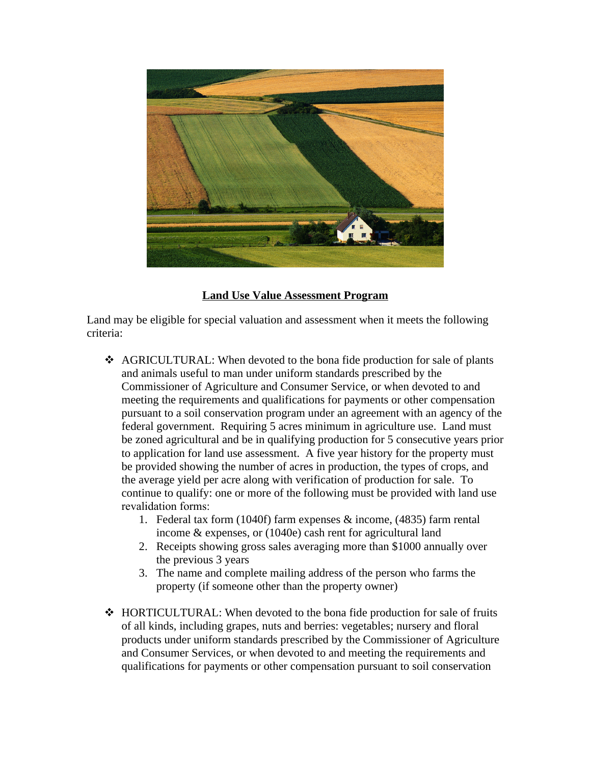

## **Land Use Value Assessment Program**

Land may be eligible for special valuation and assessment when it meets the following criteria:

- AGRICULTURAL: When devoted to the bona fide production for sale of plants and animals useful to man under uniform standards prescribed by the Commissioner of Agriculture and Consumer Service, or when devoted to and meeting the requirements and qualifications for payments or other compensation pursuant to a soil conservation program under an agreement with an agency of the federal government. Requiring 5 acres minimum in agriculture use. Land must be zoned agricultural and be in qualifying production for 5 consecutive years prior to application for land use assessment. A five year history for the property must be provided showing the number of acres in production, the types of crops, and the average yield per acre along with verification of production for sale. To continue to qualify: one or more of the following must be provided with land use revalidation forms:
	- 1. Federal tax form (1040f) farm expenses & income, (4835) farm rental income & expenses, or (1040e) cash rent for agricultural land
	- 2. Receipts showing gross sales averaging more than \$1000 annually over the previous 3 years
	- 3. The name and complete mailing address of the person who farms the property (if someone other than the property owner)
- $\div$  HORTICULTURAL: When devoted to the bona fide production for sale of fruits of all kinds, including grapes, nuts and berries: vegetables; nursery and floral products under uniform standards prescribed by the Commissioner of Agriculture and Consumer Services, or when devoted to and meeting the requirements and qualifications for payments or other compensation pursuant to soil conservation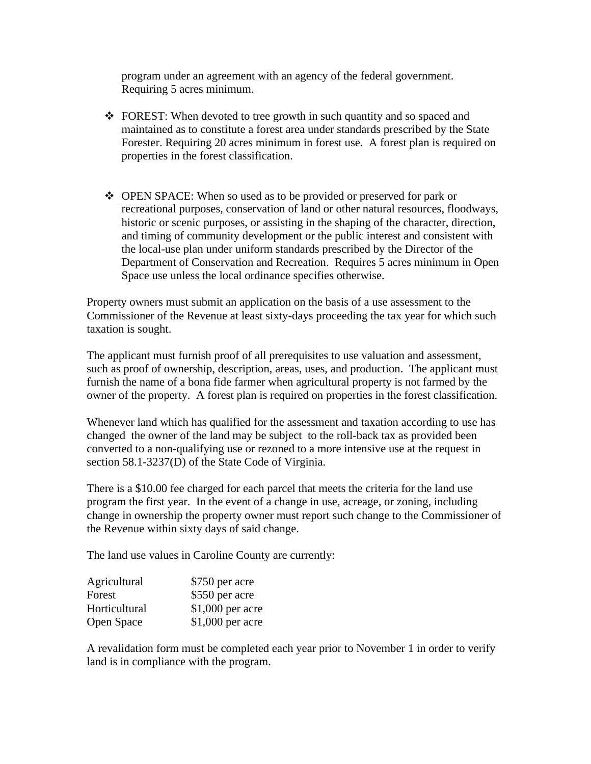program under an agreement with an agency of the federal government. Requiring 5 acres minimum.

- $\div$  FOREST: When devoted to tree growth in such quantity and so spaced and maintained as to constitute a forest area under standards prescribed by the State Forester. Requiring 20 acres minimum in forest use. A forest plan is required on properties in the forest classification.
- OPEN SPACE: When so used as to be provided or preserved for park or recreational purposes, conservation of land or other natural resources, floodways, historic or scenic purposes, or assisting in the shaping of the character, direction, and timing of community development or the public interest and consistent with the local-use plan under uniform standards prescribed by the Director of the Department of Conservation and Recreation. Requires 5 acres minimum in Open Space use unless the local ordinance specifies otherwise.

Property owners must submit an application on the basis of a use assessment to the Commissioner of the Revenue at least sixty-days proceeding the tax year for which such taxation is sought.

The applicant must furnish proof of all prerequisites to use valuation and assessment, such as proof of ownership, description, areas, uses, and production. The applicant must furnish the name of a bona fide farmer when agricultural property is not farmed by the owner of the property. A forest plan is required on properties in the forest classification.

Whenever land which has qualified for the assessment and taxation according to use has changed the owner of the land may be subject to the roll-back tax as provided been converted to a non-qualifying use or rezoned to a more intensive use at the request in section 58.1-3237(D) of the State Code of Virginia.

There is a \$10.00 fee charged for each parcel that meets the criteria for the land use program the first year. In the event of a change in use, acreage, or zoning, including change in ownership the property owner must report such change to the Commissioner of the Revenue within sixty days of said change.

The land use values in Caroline County are currently:

| Agricultural  | \$750 per acre   |
|---------------|------------------|
| Forest        | \$550 per acre   |
| Horticultural | \$1,000 per acre |
| Open Space    | \$1,000 per acre |

A revalidation form must be completed each year prior to November 1 in order to verify land is in compliance with the program.